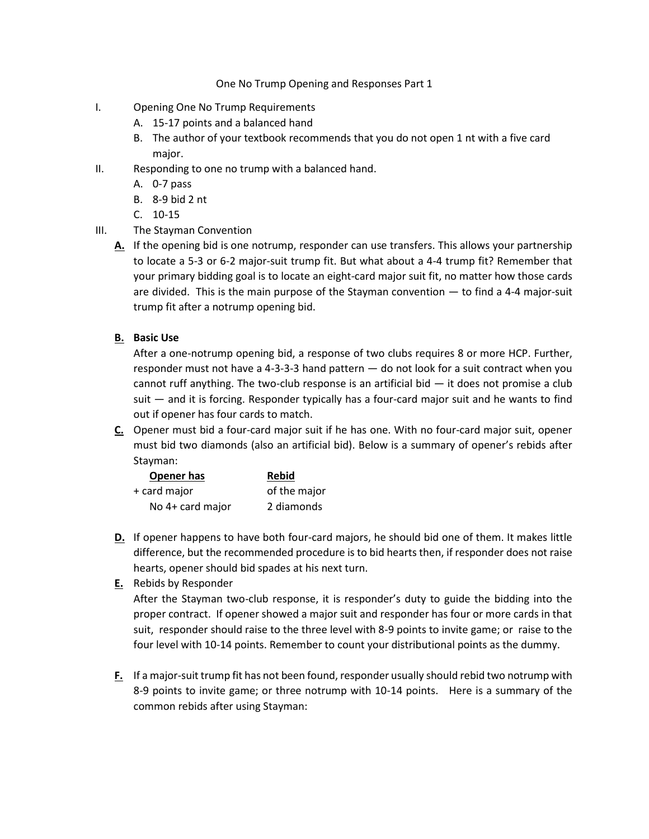## One No Trump Opening and Responses Part 1

- I. Opening One No Trump Requirements
	- A. 15-17 points and a balanced hand
	- B. The author of your textbook recommends that you do not open 1 nt with a five card major.
- II. Responding to one no trump with a balanced hand.
	- A. 0-7 pass
	- B. 8-9 bid 2 nt
	- C. 10-15
- III. The Stayman Convention
	- **A.** If the opening bid is one notrump, responder can use transfers. This allows your partnership to locate a 5-3 or 6-2 major-suit trump fit. But what about a 4-4 trump fit? Remember that your primary bidding goal is to locate an eight-card major suit fit, no matter how those cards are divided. This is the main purpose of the Stayman convention — to find a 4-4 major-suit trump fit after a notrump opening bid.
	- **B. Basic Use**

After a one-notrump opening bid, a response of two clubs requires 8 or more HCP. Further, responder must not have a 4-3-3-3 hand pattern — do not look for a suit contract when you cannot ruff anything. The two-club response is an artificial bid  $-$  it does not promise a club suit — and it is forcing. Responder typically has a four-card major suit and he wants to find out if opener has four cards to match.

**C.** Opener must bid a four-card major suit if he has one. With no four-card major suit, opener must bid two diamonds (also an artificial bid). Below is a summary of opener's rebids after Stayman:

| Opener has       | <b>Rebid</b> |
|------------------|--------------|
| + card major     | of the major |
| No 4+ card major | 2 diamonds   |

- **D.** If opener happens to have both four-card majors, he should bid one of them. It makes little difference, but the recommended procedure is to bid hearts then, if responder does not raise hearts, opener should bid spades at his next turn.
- **E.** Rebids by Responder

After the Stayman two-club response, it is responder's duty to guide the bidding into the proper contract. If opener showed a major suit and responder has four or more cards in that suit, responder should raise to the three level with 8-9 points to invite game; or raise to the four level with 10-14 points. Remember to count your distributional points as the dummy.

**F.** If a major-suit trump fit has not been found, responder usually should rebid two notrump with 8-9 points to invite game; or three notrump with 10-14 points. Here is a summary of the common rebids after using Stayman: